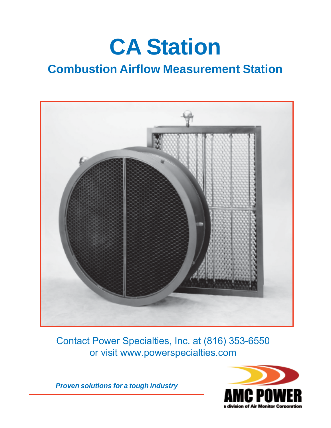# **CA Station**

# **Combustion Airflow Measurement Station**



Contact Power Specialties, Inc. at (816) 353-6550 or visit www.powerspecialties.com

*Proven solutions for a tough industry*

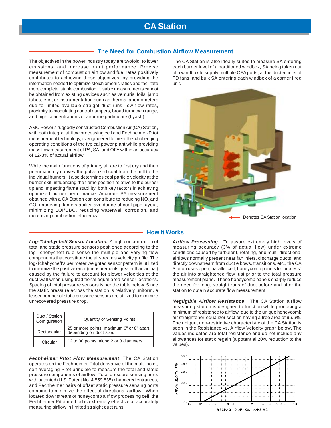# **CA Station**

#### **The Need for Combustion Airflow Measurement**

The objectives in the power industry today are twofold; to lower emissions, and increase plant performance. Precise measurement of combustion airflow and fuel rates positively contributes to achieving those objectives, by providing the information needed to optimize stoichiometric ratios and facilitate more complete, stable combustion. Usable measurements cannot be obtained from existing devices such as venturis, foils, jamb tubes, etc., or instrumentation such as thermal anemometers due to limited available straight duct runs, low flow rates, proximity to modulating control dampers, broad turndown range, and high concentrations of airborne particulate (flyash).

AMC Power's ruggedly constructed Combustion Air (CA) Station, with both integral airflow processing cell and Fechheimer-Pitot measurement technology, is engineered to meet the challenging operating conditions of the typical power plant while providing mass flow measurement of PA, SA, and OFA within an accuracy of ±2-3% of actual airflow.

While the main functions of primary air are to first dry and then pneumatically convey the pulverized coal from the mill to the individual burners, it also determines coal particle velocity at the burner exit, influencing the flame position relative to the burner tip and impacting flame stability, both key factors in achieving optimized burner performance. Accurate PA measurement obtained with a CA Station can contribute to reducing  $NO<sub>x</sub>$  and CO, improving flame stability, avoidance of coal pipe layout, minimizing LOI/UBC, reducing waterwall corrosion, and increasing combustion efficiency.

*Log-Tchebycheff Sensor Location.* A high concentration of total and static pressure sensors positioned according to the log-Tchebycheff rule sense the multiple and varying flow components that constitute the airstream's velocity profile. The log-Tchebycheff's perimeter weighted sensor pattern is utilized to minimize the positive error (measurements greater than actual) caused by the failure to account for slower velocities at the duct wall when using traditional equal area sensor locations. Spacing of total pressure sensors is per the table below. Since the static pressure across the station is relatively uniform, a lesser number of static pressure sensors are utilized to minimize unrecovered pressure drop.

| Duct / Station<br>Configuration | <b>Quantity of Sensing Points</b>                                     |
|---------------------------------|-----------------------------------------------------------------------|
| Rectangular                     | 25 or more points, maximum 6" or 8" apart,<br>depending on duct size. |
| Circular                        | 12 to 30 points, along 2 or 3 diameters.                              |

*Fechheimer Pitot Flow Measurement*. The CA Station operates on the Fechheimer-Pitot derivative of the multi-point, self-averaging Pitot principle to measure the total and static pressure components of airflow. Total pressure sensing ports with patented (U.S. Patent No. 4,559,835) chamfered entrances, and Fechheimer pairs of offset static pressure sensing ports combine to minimize the effect of directional airflow. When located downstream of honeycomb airflow processing cell, the Fechheimer Pitot method is extremely effective at accurately measuring airflow in limited straight duct runs.

The CA Station is also ideally suited to measure SA entering each burner level of a partitioned windbox, SA being taken out of a windbox to supply multiple OFA ports, at the ducted inlet of FD fans, and bulk SA entering each windbox of a corner fired unit.



#### **How It Works**

*Airflow Processing.* To assure extremely high levels of measuring accuracy (3% of actual flow) under extreme conditions caused by turbulent, rotating, and multi-directional airflows normally present near fan inlets, discharge ducts, and directly downstream from duct elbows, transitions, etc., the CA Station uses open, parallel cell, honeycomb panels to "process" the air into straightened flow just prior to the total pressure measurement plane. These honeycomb panels sharply reduce the need for long, straight runs of duct before and after the station to obtain accurate flow measurement.

*Negligible Airflow Resistance*. The CA Station airflow measuring station is designed to function while producing a minimum of resistance to airflow, due to the unique honeycomb air straightener-equalizer section having a free area of 96.6%. The unique, non-restrictive characteristic of the CA Station is seen in the Resistance vs. Airflow Velocity graph below. The values indicated are total resistance and do not include any allowances for static regain (a potential 20% reduction to the values).

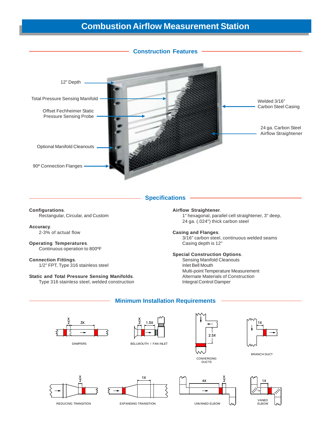# **Combustion Airflow Measurement Station**



#### **Specifications**

#### **Configurations**.

Rectangular, Circular, and Custom

#### **Accuracy**.

2-3% of actual flow

## **Operating Temperatures**.

Continuous operation to 800ºF

#### **Connection Fittings**.

1/2" FPT, Type 316 stainless steel

#### **Static and Total Pressure Sensing Manifolds**.

Type 316 stainless steel, welded construction

#### **Airflow Straightener**.

1" hexagonal, parallel cell straightener, 3" deep, 24 ga. (.024") thick carbon steel

#### **Casing and Flanges**.

3/16" carbon steel, continuous welded seams Casing depth is 12"

#### **Special Construction Options**.

Sensing Manifold Cleanouts Inlet Bell Mouth Multi-point Temperature Measurement Alternate Materials of Construction Integral Control Damper



#### **Minimum Installation Requirements**